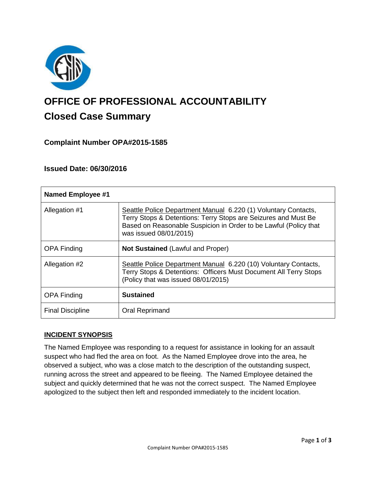

# **OFFICE OF PROFESSIONAL ACCOUNTABILITY Closed Case Summary**

# **Complaint Number OPA#2015-1585**

## **Issued Date: 06/30/2016**

| <b>Named Employee #1</b> |                                                                                                                                                                                                                                |
|--------------------------|--------------------------------------------------------------------------------------------------------------------------------------------------------------------------------------------------------------------------------|
| Allegation #1            | Seattle Police Department Manual 6.220 (1) Voluntary Contacts,<br>Terry Stops & Detentions: Terry Stops are Seizures and Must Be<br>Based on Reasonable Suspicion in Order to be Lawful (Policy that<br>was issued 08/01/2015) |
| <b>OPA Finding</b>       | <b>Not Sustained (Lawful and Proper)</b>                                                                                                                                                                                       |
| Allegation #2            | Seattle Police Department Manual 6.220 (10) Voluntary Contacts,<br>Terry Stops & Detentions: Officers Must Document All Terry Stops<br>(Policy that was issued 08/01/2015)                                                     |
| <b>OPA Finding</b>       | <b>Sustained</b>                                                                                                                                                                                                               |
| <b>Final Discipline</b>  | Oral Reprimand                                                                                                                                                                                                                 |

## **INCIDENT SYNOPSIS**

The Named Employee was responding to a request for assistance in looking for an assault suspect who had fled the area on foot. As the Named Employee drove into the area, he observed a subject, who was a close match to the description of the outstanding suspect, running across the street and appeared to be fleeing. The Named Employee detained the subject and quickly determined that he was not the correct suspect. The Named Employee apologized to the subject then left and responded immediately to the incident location.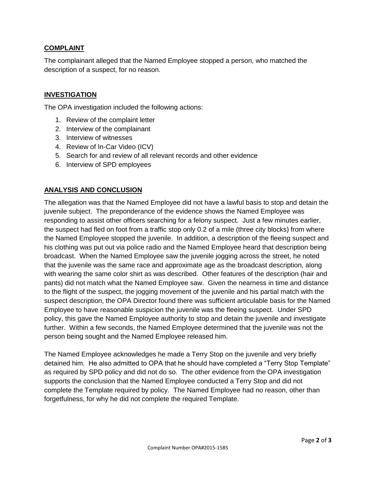## **COMPLAINT**

The complainant alleged that the Named Employee stopped a person, who matched the description of a suspect, for no reason.

## **INVESTIGATION**

The OPA investigation included the following actions:

- 1. Review of the complaint letter
- 2. Interview of the complainant
- 3. Interview of witnesses
- 4. Review of In-Car Video (ICV)
- 5. Search for and review of all relevant records and other evidence
- 6. Interview of SPD employees

## **ANALYSIS AND CONCLUSION**

The allegation was that the Named Employee did not have a lawful basis to stop and detain the juvenile subject. The preponderance of the evidence shows the Named Employee was responding to assist other officers searching for a felony suspect. Just a few minutes earlier, the suspect had fled on foot from a traffic stop only 0.2 of a mile (three city blocks) from where the Named Employee stopped the juvenile. In addition, a description of the fleeing suspect and his clothing was put out via police radio and the Named Employee heard that description being broadcast. When the Named Employee saw the juvenile jogging across the street, he noted that the juvenile was the same race and approximate age as the broadcast description, along with wearing the same color shirt as was described. Other features of the description (hair and pants) did not match what the Named Employee saw. Given the nearness in time and distance to the flight of the suspect, the jogging movement of the juvenile and his partial match with the suspect description, the OPA Director found there was sufficient articulable basis for the Named Employee to have reasonable suspicion the juvenile was the fleeing suspect. Under SPD policy, this gave the Named Employee authority to stop and detain the juvenile and investigate further. Within a few seconds, the Named Employee determined that the juvenile was not the person being sought and the Named Employee released him.

The Named Employee acknowledges he made a Terry Stop on the juvenile and very briefly detained him. He also admitted to OPA that he should have completed a "Terry Stop Template" as required by SPD policy and did not do so. The other evidence from the OPA investigation supports the conclusion that the Named Employee conducted a Terry Stop and did not complete the Template required by policy. The Named Employee had no reason, other than forgetfulness, for why he did not complete the required Template.